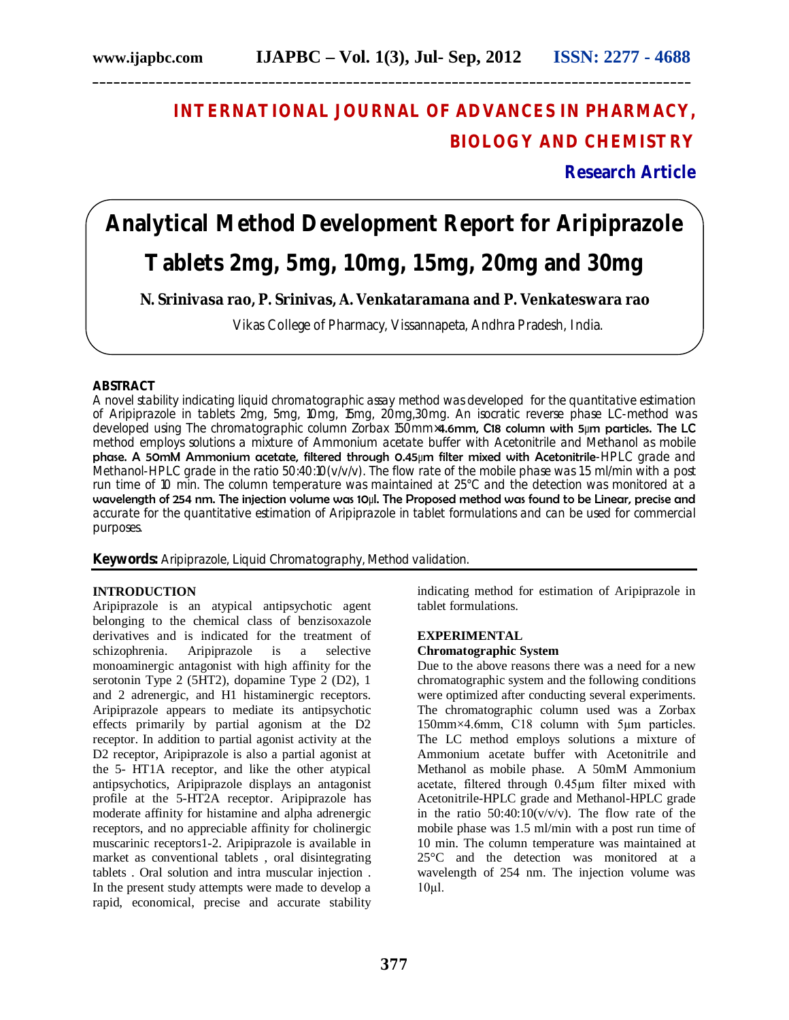# **INTERNATIONAL JOURNAL OF ADVANCES IN PHARMACY, BIOLOGY AND CHEMISTRY**

**Research Article**

# **Analytical Method Development Report for Aripiprazole**

**\_\_\_\_\_\_\_\_\_\_\_\_\_\_\_\_\_\_\_\_\_\_\_\_\_\_\_\_\_\_\_\_\_\_\_\_\_\_\_\_\_\_\_\_\_\_\_\_\_\_\_\_\_\_\_\_\_\_\_\_\_\_\_\_\_\_\_\_\_\_\_\_\_\_\_\_\_\_\_\_\_\_\_\_\_**

## **Tablets 2mg, 5mg, 10mg, 15mg, 20mg and 30mg**

**N. Srinivasa rao, P. Srinivas, A. Venkataramana and P. Venkateswara rao**

Vikas College of Pharmacy, Vissannapeta, Andhra Pradesh, India.

#### **ABSTRACT**

A novel stability indicating liquid chromatographic assay method was developed for the quantitative estimation of Aripiprazole in tablets 2mg, 5mg, 10mg, 15mg, 20mg,30mg. An isocratic reverse phase LC-method was developed using The chromatographic column Zorbax 150mm×4.6mm, C18 column with 5µm particles. The LC method employs solutions a mixture of Ammonium acetate buffer with Acetonitrile and Methanol as mobile phase. A 50mM Ammonium acetate, filtered through 0.45µm filter mixed with Acetonitrile-HPLC grade and Methanol-HPLC grade in the ratio 50:40:10(v/v/v). The flow rate of the mobile phase was 1.5 ml/min with a post run time of 10 min. The column temperature was maintained at 25°C and the detection was monitored at a wavelength of 254 nm. The injection volume was 10µl. The Proposed method was found to be Linear, precise and accurate for the quantitative estimation of Aripiprazole in tablet formulations and can be used for commercial purposes.

**Keywords:** Aripiprazole, Liquid Chromatography, Method validation.

#### **INTRODUCTION**

Aripiprazole is an atypical antipsychotic agent belonging to the chemical class of benzisoxazole derivatives and is indicated for the treatment of schizophrenia. Aripiprazole is a selective monoaminergic antagonist with high affinity for the serotonin Type 2 (5HT2), dopamine Type 2 (D2), 1 and 2 adrenergic, and H1 histaminergic receptors. Aripiprazole appears to mediate its antipsychotic effects primarily by partial agonism at the D2 receptor. In addition to partial agonist activity at the D<sub>2</sub> receptor, Aripiprazole is also a partial agonist at the 5- HT1A receptor, and like the other atypical antipsychotics, Aripiprazole displays an antagonist profile at the 5-HT2A receptor. Aripiprazole has moderate affinity for histamine and alpha adrenergic receptors, and no appreciable affinity for cholinergic muscarinic receptors1-2. Aripiprazole is available in market as conventional tablets , oral disintegrating tablets . Oral solution and intra muscular injection . In the present study attempts were made to develop a rapid, economical, precise and accurate stability

indicating method for estimation of Aripiprazole in tablet formulations.

### **EXPERIMENTAL**

#### **Chromatographic System**

Due to the above reasons there was a need for a new chromatographic system and the following conditions were optimized after conducting several experiments. The chromatographic column used was a Zorbax 150mm×4.6mm, C18 column with 5µm particles. The LC method employs solutions a mixture of Ammonium acetate buffer with Acetonitrile and Methanol as mobile phase. A 50mM Ammonium acetate, filtered through 0.45µm filter mixed with Acetonitrile-HPLC grade and Methanol-HPLC grade in the ratio  $50:40:10(v/v/v)$ . The flow rate of the mobile phase was 1.5 ml/min with a post run time of 10 min. The column temperature was maintained at 25°C and the detection was monitored at a wavelength of 254 nm. The injection volume was  $10<sub>µ</sub>l$ .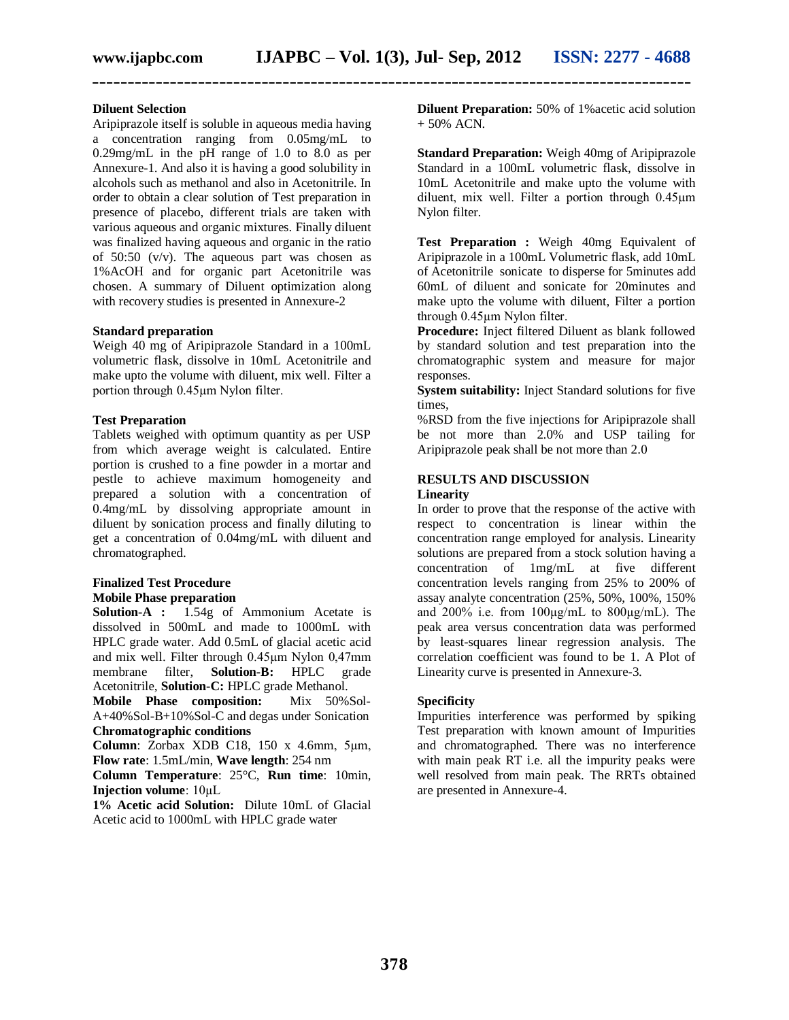**\_\_\_\_\_\_\_\_\_\_\_\_\_\_\_\_\_\_\_\_\_\_\_\_\_\_\_\_\_\_\_\_\_\_\_\_\_\_\_\_\_\_\_\_\_\_\_\_\_\_\_\_\_\_\_\_\_\_\_\_\_\_\_\_\_\_\_\_\_\_\_\_\_\_\_\_\_\_\_\_\_\_\_\_\_**

#### **Diluent Selection**

Aripiprazole itself is soluble in aqueous media having a concentration ranging from 0.05mg/mL to 0.29mg/mL in the pH range of 1.0 to 8.0 as per Annexure-1. And also it is having a good solubility in alcohols such as methanol and also in Acetonitrile. In order to obtain a clear solution of Test preparation in presence of placebo, different trials are taken with various aqueous and organic mixtures. Finally diluent was finalized having aqueous and organic in the ratio of 50:50  $(v/v)$ . The aqueous part was chosen as 1%AcOH and for organic part Acetonitrile was chosen. A summary of Diluent optimization along with recovery studies is presented in Annexure-2

#### **Standard preparation**

Weigh 40 mg of Aripiprazole Standard in a 100mL volumetric flask, dissolve in 10mL Acetonitrile and make upto the volume with diluent, mix well. Filter a portion through 0.45µm Nylon filter.

#### **Test Preparation**

Tablets weighed with optimum quantity as per USP from which average weight is calculated. Entire portion is crushed to a fine powder in a mortar and pestle to achieve maximum homogeneity and prepared a solution with a concentration of 0.4mg/mL by dissolving appropriate amount in diluent by sonication process and finally diluting to get a concentration of 0.04mg/mL with diluent and chromatographed.

#### **Finalized Test Procedure Mobile Phase preparation**

**Solution-A :** 1.54g of Ammonium Acetate is dissolved in 500mL and made to 1000mL with HPLC grade water. Add 0.5mL of glacial acetic acid and mix well. Filter through 0.45µm Nylon 0,47mm membrane filter, **Solution-B:** HPLC grade Acetonitrile, **Solution-C:** HPLC grade Methanol.<br> **Mobile Phase composition:** Mix 50%Sol-

**Mobile Phase composition:** A+40%Sol-B+10%Sol-C and degas under Sonication **Chromatographic conditions**

**Column**: Zorbax XDB C18, 150 x 4.6mm, 5µm, **Flow rate**: 1.5mL/min, **Wave length**: 254 nm

**Column Temperature**: 25°C, **Run time**: 10min, **Injection volume**: 10µL

**1% Acetic acid Solution:** Dilute 10mL of Glacial Acetic acid to 1000mL with HPLC grade water

**Diluent Preparation:** 50% of 1%acetic acid solution  $+ 50\%$  ACN.

**Standard Preparation:** Weigh 40mg of Aripiprazole Standard in a 100mL volumetric flask, dissolve in 10mL Acetonitrile and make upto the volume with diluent, mix well. Filter a portion through 0.45µm Nylon filter.

**Test Preparation :** Weigh 40mg Equivalent of Aripiprazole in a 100mL Volumetric flask, add 10mL of Acetonitrile sonicate to disperse for 5minutes add 60mL of diluent and sonicate for 20minutes and make upto the volume with diluent, Filter a portion through 0.45µm Nylon filter.

**Procedure:** Inject filtered Diluent as blank followed by standard solution and test preparation into the chromatographic system and measure for major responses.

**System suitability:** Inject Standard solutions for five times,

%RSD from the five injections for Aripiprazole shall be not more than 2.0% and USP tailing for Aripiprazole peak shall be not more than 2.0

#### **RESULTS AND DISCUSSION**

#### **Linearity**

In order to prove that the response of the active with respect to concentration is linear within the concentration range employed for analysis. Linearity solutions are prepared from a stock solution having a concentration of 1mg/mL at five different concentration levels ranging from 25% to 200% of assay analyte concentration (25%, 50%, 100%, 150% and 200% i.e. from 100µg/mL to 800µg/mL). The peak area versus concentration data was performed by least-squares linear regression analysis. The correlation coefficient was found to be 1. A Plot of Linearity curve is presented in Annexure-3.

#### **Specificity**

Impurities interference was performed by spiking Test preparation with known amount of Impurities and chromatographed. There was no interference with main peak RT i.e. all the impurity peaks were well resolved from main peak. The RRTs obtained are presented in Annexure-4.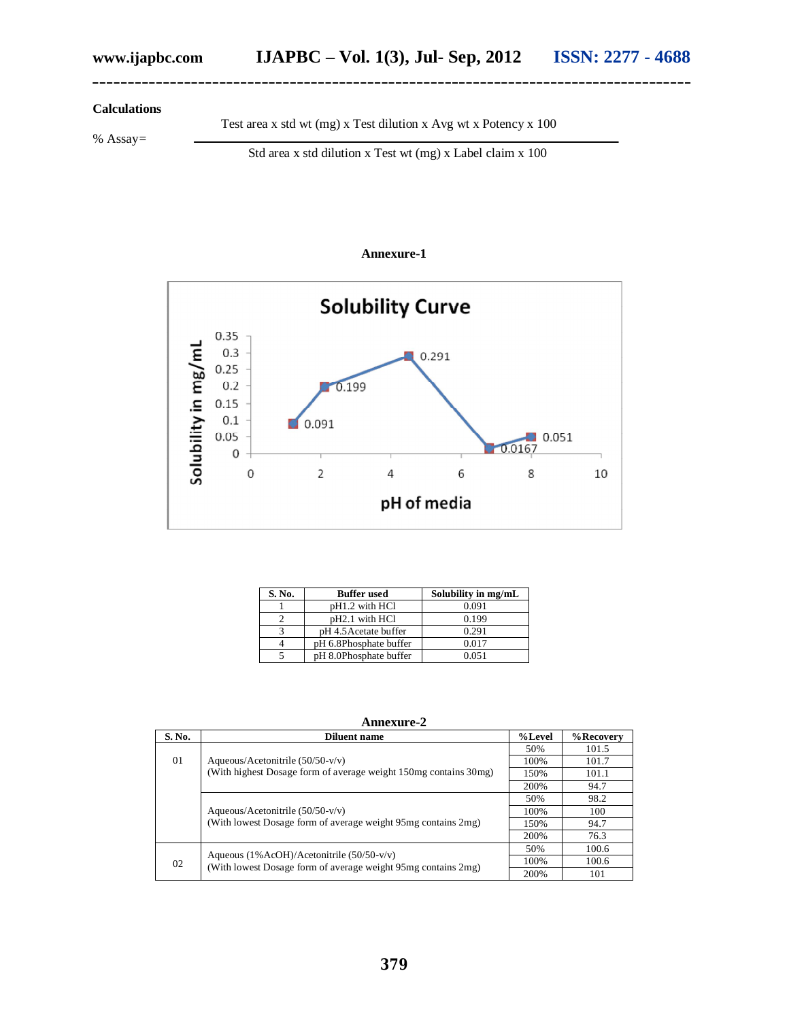#### **Calculations**

% Assay=

Test area x std wt (mg) x Test dilution x Avg wt x Potency x 100

**\_\_\_\_\_\_\_\_\_\_\_\_\_\_\_\_\_\_\_\_\_\_\_\_\_\_\_\_\_\_\_\_\_\_\_\_\_\_\_\_\_\_\_\_\_\_\_\_\_\_\_\_\_\_\_\_\_\_\_\_\_\_\_\_\_\_\_\_\_\_\_\_\_\_\_\_\_\_\_\_\_\_\_\_\_**

Std area x std dilution x Test wt (mg) x Label claim x 100

#### **Annexure-1**



| S. No. | <b>Buffer</b> used         | Solubility in mg/mL |
|--------|----------------------------|---------------------|
|        | pH1.2 with HCl             | 0.091               |
|        | pH <sub>2.1</sub> with HCl | 0.199               |
|        | pH 4.5 Acetate buffer      | 0.291               |
|        | pH 6.8Phosphate buffer     | 0.017               |
|        | pH 8.0Phosphate buffer     | 0.051               |

**Annexure-2**

| S. No. | Diluent name                                                                                                  | %Level | %Recovery |
|--------|---------------------------------------------------------------------------------------------------------------|--------|-----------|
| 01     | Aqueous/Acetonitrile $(50/50-v/v)$<br>(With highest Dosage form of average weight 150mg contains 30mg)        | 50%    | 101.5     |
|        |                                                                                                               | 100%   | 101.7     |
|        |                                                                                                               | 150%   | 101.1     |
|        |                                                                                                               | 200%   | 94.7      |
|        | Aqueous/Acetonitrile $(50/50-v/v)$<br>(With lowest Dosage form of average weight 95mg contains 2mg)           | 50%    | 98.2      |
|        |                                                                                                               | 100%   | 100       |
|        |                                                                                                               | 150%   | 94.7      |
|        |                                                                                                               | 200%   | 76.3      |
| 02     | Aqueous $(1\%ACOH)/Acetonitrile (50/50-v/v)$<br>(With lowest Dosage form of average weight 95mg contains 2mg) | 50%    | 100.6     |
|        |                                                                                                               | 100%   | 100.6     |
|        |                                                                                                               |        | 101       |